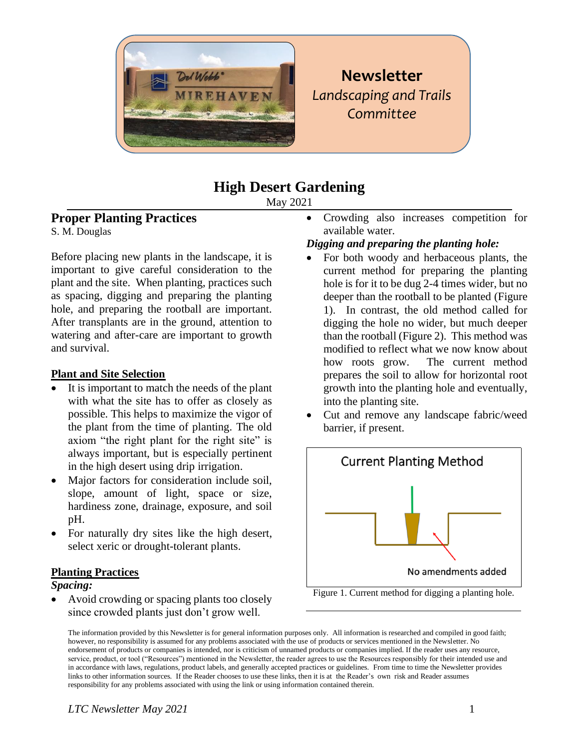

# **Newsletter** *Landscaping and Trails Committee*

## **High Desert Gardening**

May 2021

#### **Proper Planting Practices**

S. M. Douglas

Before placing new plants in the landscape, it is important to give careful consideration to the plant and the site. When planting, practices such as spacing, digging and preparing the planting hole, and preparing the rootball are important. After transplants are in the ground, attention to watering and after-care are important to growth and survival.

#### **Plant and Site Selection**

- It is important to match the needs of the plant with what the site has to offer as closely as possible. This helps to maximize the vigor of the plant from the time of planting. The old axiom "the right plant for the right site" is always important, but is especially pertinent in the high desert using drip irrigation.
- Major factors for consideration include soil, slope, amount of light, space or size, hardiness zone, drainage, exposure, and soil pH.
- For naturally dry sites like the high desert, select xeric or drought-tolerant plants.

#### **Planting Practices**

#### *Spacing:*

• Avoid crowding or spacing plants too closely since crowded plants just don't grow well.

• Crowding also increases competition for available water.

#### *Digging and preparing the planting hole:*

- For both woody and herbaceous plants, the current method for preparing the planting hole is for it to be dug 2-4 times wider, but no deeper than the rootball to be planted (Figure 1). In contrast, the old method called for digging the hole no wider, but much deeper than the rootball (Figure 2). This method was modified to reflect what we now know about how roots grow. The current method prepares the soil to allow for horizontal root growth into the planting hole and eventually, into the planting site.
- Cut and remove any landscape fabric/weed barrier, if present.



Figure 1. Current method for digging a planting hole.

The information provided by this Newsletter is for general information purposes only. All information is researched and compiled in good faith; however, no responsibility is assumed for any problems associated with the use of products or services mentioned in the Newsletter. No endorsement of products or companies is intended, nor is criticism of unnamed products or companies implied. If the reader uses any resource, service, product, or tool ("Resources") mentioned in the Newsletter, the reader agrees to use the Resources responsibly for their intended use and in accordance with laws, regulations, product labels, and generally accepted practices or guidelines. From time to time the Newsletter provides links to other information sources. If the Reader chooses to use these links, then it is at the Reader's own risk and Reader assumes responsibility for any problems associated with using the link or using information contained therein.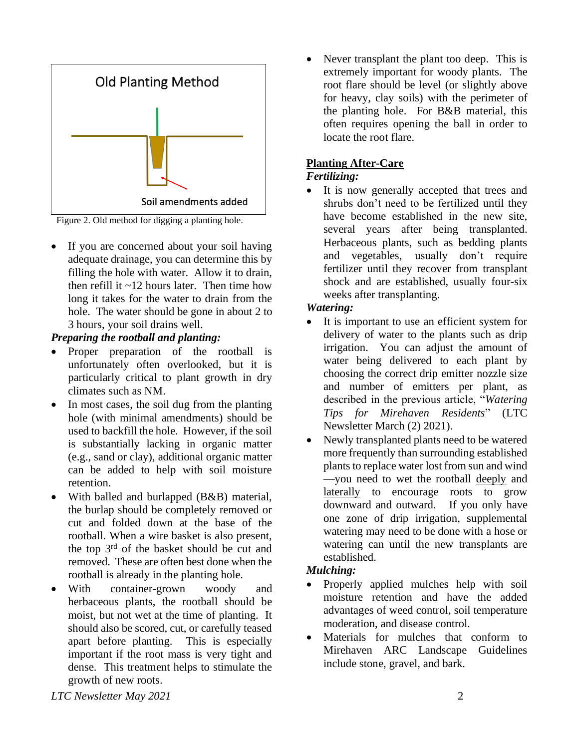

Figure 2. Old method for digging a planting hole.

If you are concerned about your soil having adequate drainage, you can determine this by filling the hole with water. Allow it to drain, then refill it  $\sim$ 12 hours later. Then time how long it takes for the water to drain from the hole. The water should be gone in about 2 to 3 hours, your soil drains well.

#### *Preparing the rootball and planting:*

- Proper preparation of the rootball is unfortunately often overlooked, but it is particularly critical to plant growth in dry climates such as NM.
- In most cases, the soil dug from the planting hole (with minimal amendments) should be used to backfill the hole. However, if the soil is substantially lacking in organic matter (e.g., sand or clay), additional organic matter can be added to help with soil moisture retention.
- With balled and burlapped (B&B) material, the burlap should be completely removed or cut and folded down at the base of the rootball. When a wire basket is also present, the top 3rd of the basket should be cut and removed. These are often best done when the rootball is already in the planting hole.
- With container-grown woody and herbaceous plants, the rootball should be moist, but not wet at the time of planting. It should also be scored, cut, or carefully teased apart before planting. This is especially important if the root mass is very tight and dense. This treatment helps to stimulate the growth of new roots.

• Never transplant the plant too deep. This is extremely important for woody plants. The root flare should be level (or slightly above for heavy, clay soils) with the perimeter of the planting hole. For B&B material, this often requires opening the ball in order to locate the root flare.

#### **Planting After-Care**

#### *Fertilizing:*

It is now generally accepted that trees and shrubs don't need to be fertilized until they have become established in the new site, several years after being transplanted. Herbaceous plants, such as bedding plants and vegetables, usually don't require fertilizer until they recover from transplant shock and are established, usually four-six weeks after transplanting.

#### *Watering:*

- It is important to use an efficient system for delivery of water to the plants such as drip irrigation. You can adjust the amount of water being delivered to each plant by choosing the correct drip emitter nozzle size and number of emitters per plant, as described in the previous article, "*Watering Tips for Mirehaven Residents*" (LTC Newsletter March (2) 2021).
- Newly transplanted plants need to be watered more frequently than surrounding established plants to replace water lost from sun and wind —you need to wet the rootball deeply and laterally to encourage roots to grow downward and outward. If you only have one zone of drip irrigation, supplemental watering may need to be done with a hose or watering can until the new transplants are established.

#### *Mulching:*

- Properly applied mulches help with soil moisture retention and have the added advantages of weed control, soil temperature moderation, and disease control.
- Materials for mulches that conform to Mirehaven ARC Landscape Guidelines include stone, gravel, and bark.

*LTC Newsletter May 2021* 2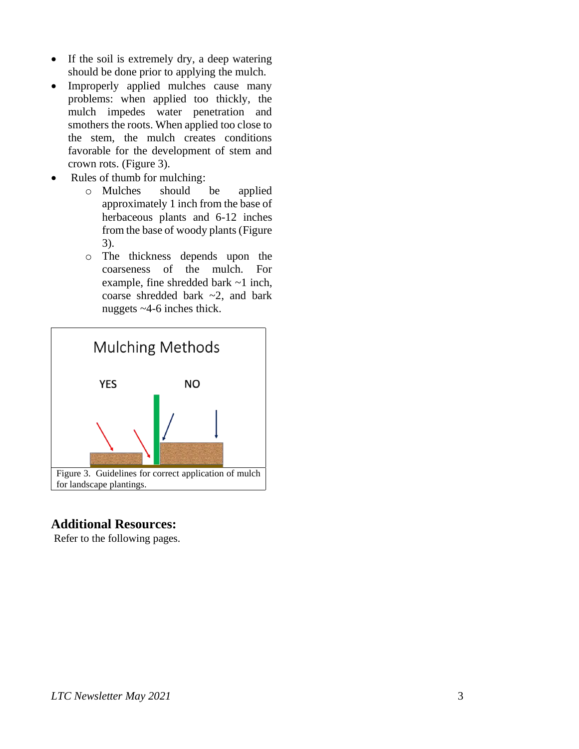- If the soil is extremely dry, a deep watering should be done prior to applying the mulch.
- Improperly applied mulches cause many problems: when applied too thickly, the mulch impedes water penetration and smothers the roots. When applied too close to the stem, the mulch creates conditions favorable for the development of stem and crown rots. (Figure 3).
- Rules of thumb for mulching:
	- o Mulches should be applied approximately 1 inch from the base of herbaceous plants and 6-12 inches from the base of woody plants (Figure 3).
	- o The thickness depends upon the coarseness of the mulch. For example, fine shredded bark ~1 inch, coarse shredded bark ~2, and bark nuggets ~4-6 inches thick.



### **Additional Resources:**

Refer to the following pages.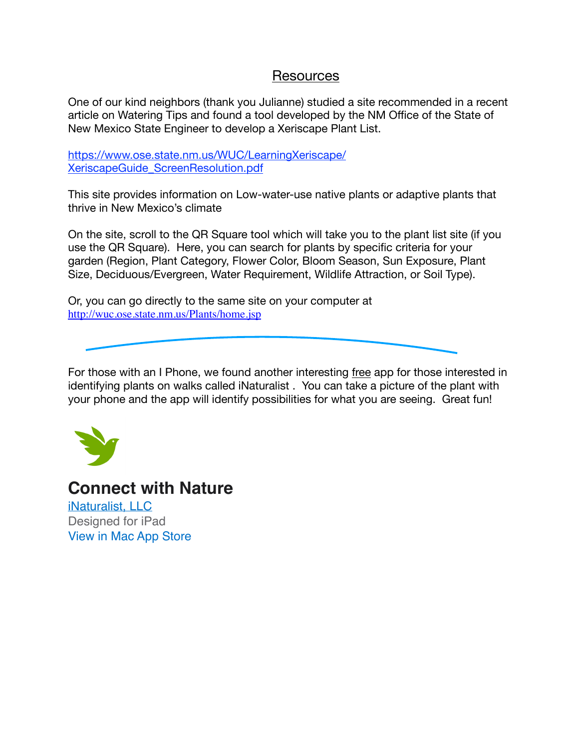### Resources

One of our kind neighbors (thank you Julianne) studied a site recommended in a recent article on Watering Tips and found a tool developed by the NM Office of the State of New Mexico State Engineer to develop a Xeriscape Plant List.

https://www.ose.state.nm.us/WUC/LearningXeriscape/ XeriscapeGuide\_ScreenResolution.pdf

This site provides information on Low-water-use native plants or adaptive plants that thrive in New Mexico's climate

On the site, scroll to the QR Square tool which will take you to the plant list site (if you use the QR Square). Here, you can search for plants by specific criteria for your garden (Region, Plant Category, Flower Color, Bloom Season, Sun Exposure, Plant Size, Deciduous/Evergreen, Water Requirement, Wildlife Attraction, or Soil Type).

Or, you can go directly to the same site on your computer at http://wuc.ose.state.nm.us/Plants/home.jsp

For those with an I Phone, we found another interesting free app for those interested in identifying plants on walks called iNaturalist . You can take a picture of the plant with your phone and the app will identify possibilities for what you are seeing. Great fun!



**Connect with Nature**

iNaturalist, LLC Designed for iPad View in Mac App Store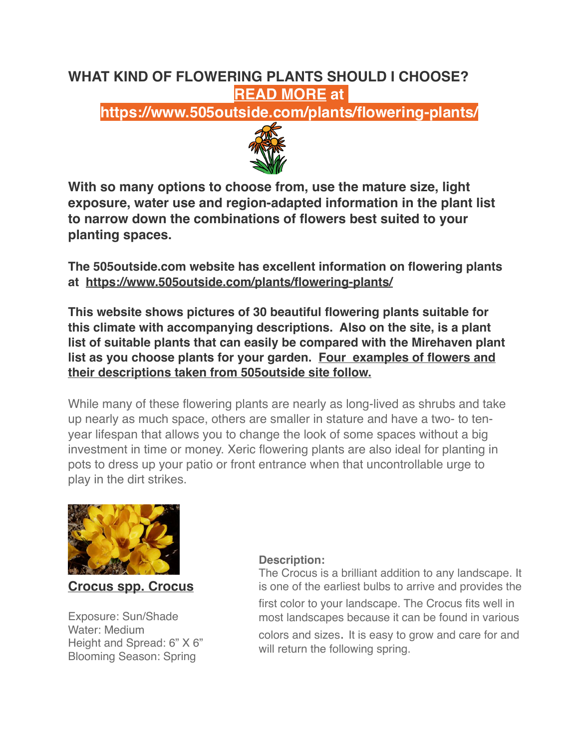# **WHAT KIND OF FLOWERING PLANTS SHOULD I CHOOSE? READ MORE at**

**https://www.505outside.com/plants/flowering-plants/**



**With so many options to choose from, use the mature size, light exposure, water use and region-adapted information in the plant list to narrow down the combinations of flowers best suited to your planting spaces.**

**The 505outside.com website has excellent information on flowering plants at https://www.505outside.com/plants/flowering-plants/**

**This website shows pictures of 30 beautiful flowering plants suitable for this climate with accompanying descriptions. Also on the site, is a plant list of suitable plants that can easily be compared with the Mirehaven plant list as you choose plants for your garden. Four examples of flowers and their descriptions taken from 505outside site follow.** 

While many of these flowering plants are nearly as long-lived as shrubs and take up nearly as much space, others are smaller in stature and have a two- to tenyear lifespan that allows you to change the look of some spaces without a big investment in time or money. Xeric flowering plants are also ideal for planting in pots to dress up your patio or front entrance when that uncontrollable urge to play in the dirt strikes.



**Crocus spp. Crocus**

Exposure: Sun/Shade Water: Medium Height and Spread: 6" X 6" Blooming Season: Spring

#### **Description:**

The Crocus is a brilliant addition to any landscape. It is one of the earliest bulbs to arrive and provides the

first color to your landscape. The Crocus fits well in most landscapes because it can be found in various

colors and sizes. It is easy to grow and care for and will return the following spring.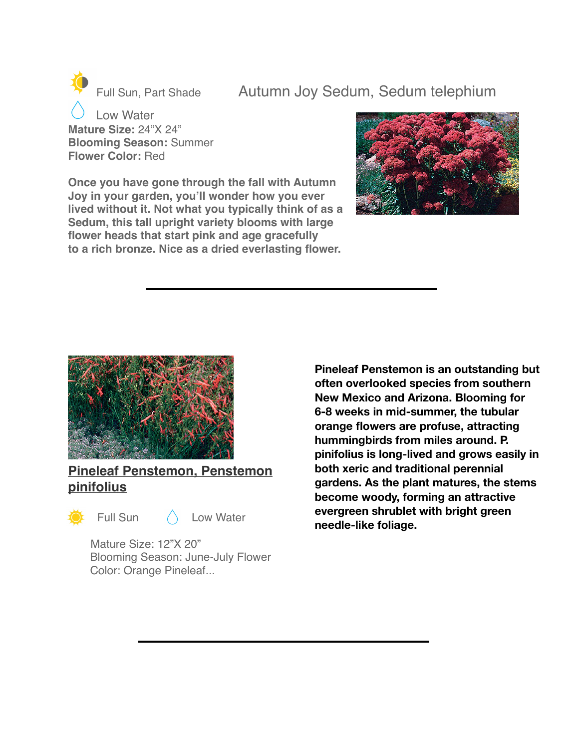Full Sun, Part Shade Autumn Joy Sedum, Sedum telephium

 Low Water **Mature Size:** 24"X 24" **Blooming Season:** Summer **Flower Color:** Red

**Once you have gone through the fall with Autumn Joy in your garden, you'll wonder how you ever lived without it. Not what you typically think of as a Sedum, this tall upright variety blooms with large flower heads that start pink and age gracefully to a rich bronze. Nice as a dried everlasting flower.**





### **Pineleaf Penstemon, Penstemon pinifolius**



Full Sun ( Low Water

Mature Size: 12"X 20" Blooming Season: June-July Flower Color: Orange Pineleaf...

**Pineleaf Penstemon is an outstanding but often overlooked species from southern New Mexico and Arizona. Blooming for 6-8 weeks in mid-summer, the tubular orange flowers are profuse, attracting hummingbirds from miles around. P. pinifolius is long-lived and grows easily in both xeric and traditional perennial gardens. As the plant matures, the stems become woody, forming an attractive evergreen shrublet with bright green needle-like foliage.**